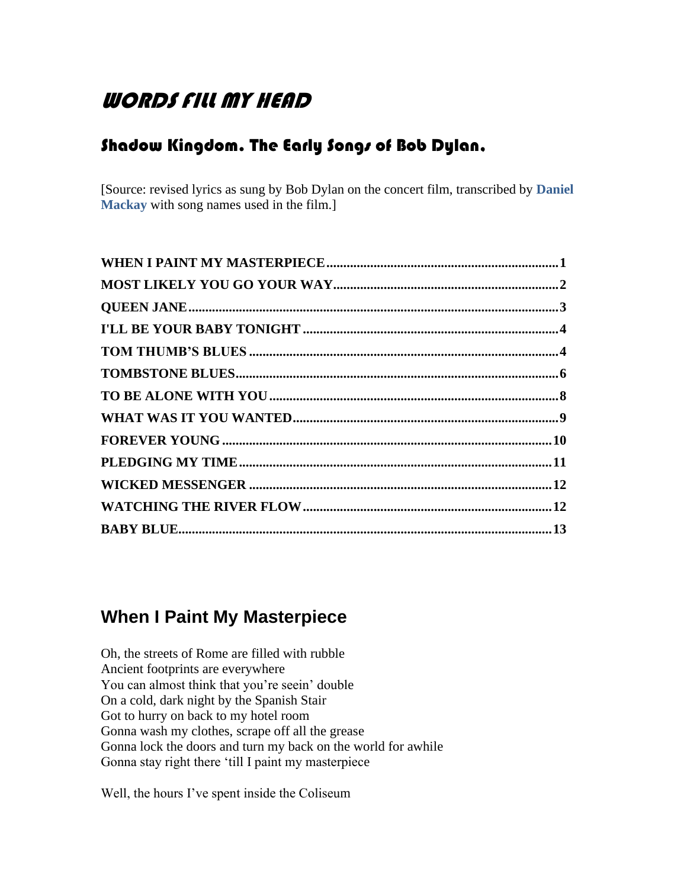# WORDS FILL MY HEAD

#### Shadow Kingdom. The Early Songs of Bob Dylan.

[Source: revised lyrics as sung by Bob Dylan on the concert film, transcribed by **[Daniel](Dan.htm)  [Mackay](Dan.htm)** with song names used in the film.]

### <span id="page-0-0"></span>**When I Paint My Masterpiece**

Oh, the streets of Rome are filled with rubble Ancient footprints are everywhere You can almost think that you're seein' double On a cold, dark night by the Spanish Stair Got to hurry on back to my hotel room Gonna wash my clothes, scrape off all the grease Gonna lock the doors and turn my back on the world for awhile Gonna stay right there 'till I paint my masterpiece

Well, the hours I've spent inside the Coliseum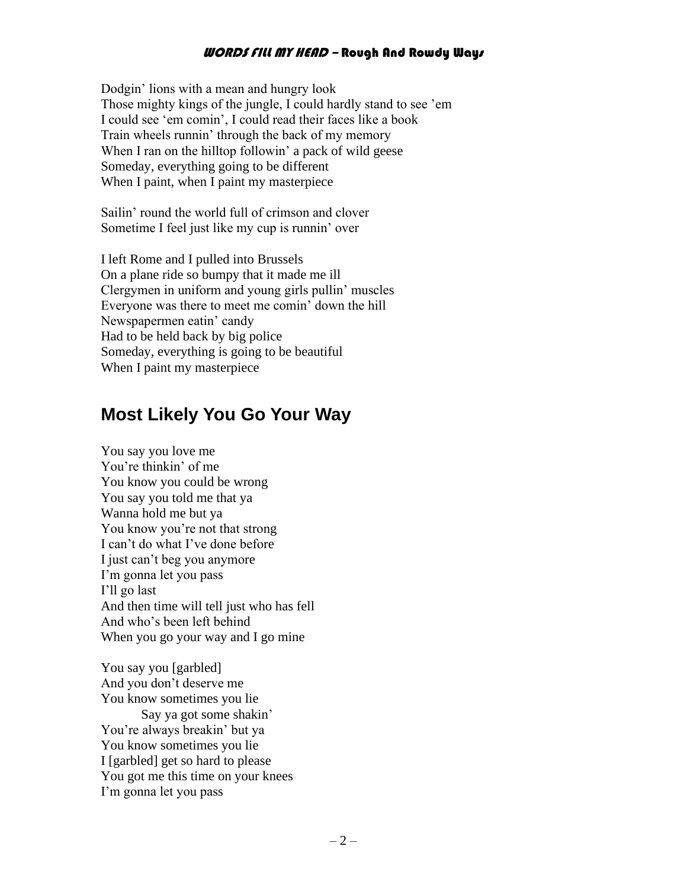Dodgin' lions with a mean and hungry look Those mighty kings of the jungle, I could hardly stand to see 'em I could see 'em comin', I could read their faces like a book Train wheels runnin' through the back of my memory When I ran on the hilltop followin' a pack of wild geese Someday, everything going to be different When I paint, when I paint my masterpiece

Sailin' round the world full of crimson and clover Sometime I feel just like my cup is runnin' over

I left Rome and I pulled into Brussels On a plane ride so bumpy that it made me ill Clergymen in uniform and young girls pullin' muscles Everyone was there to meet me comin' down the hill Newspapermen eatin' candy Had to be held back by big police Someday, everything is going to be beautiful When I paint my masterpiece

#### <span id="page-1-0"></span>**Most Likely You Go Your Way**

You say you love me You're thinkin' of me You know you could be wrong You say you told me that ya Wanna hold me but ya You know you're not that strong I can't do what I've done before I just can't beg you anymore I'm gonna let you pass I'll go last And then time will tell just who has fell And who's been left behind When you go your way and I go mine

You say you [garbled] And you don't deserve me You know sometimes you lie Say ya got some shakin' You're always breakin' but ya You know sometimes you lie I [garbled] get so hard to please You got me this time on your knees I'm gonna let you pass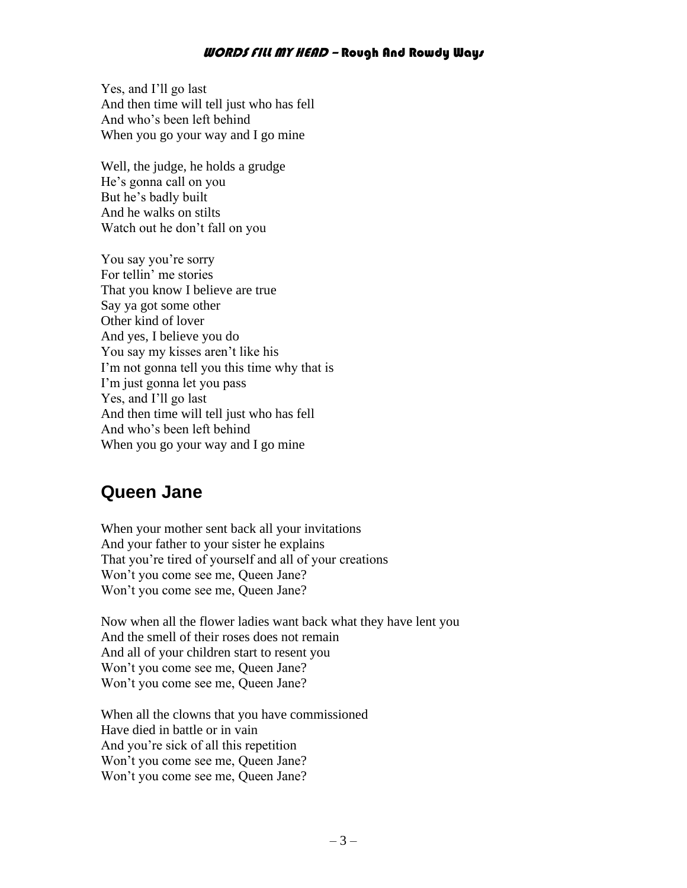Yes, and I'll go last And then time will tell just who has fell And who's been left behind When you go your way and I go mine

Well, the judge, he holds a grudge He's gonna call on you But he's badly built And he walks on stilts Watch out he don't fall on you

You say you're sorry For tellin' me stories That you know I believe are true Say ya got some other Other kind of lover And yes, I believe you do You say my kisses aren't like his I'm not gonna tell you this time why that is I'm just gonna let you pass Yes, and I'll go last And then time will tell just who has fell And who's been left behind When you go your way and I go mine

#### <span id="page-2-0"></span>**Queen Jane**

When your mother sent back all your invitations And your father to your sister he explains That you're tired of yourself and all of your creations Won't you come see me, Queen Jane? Won't you come see me, Queen Jane?

Now when all the flower ladies want back what they have lent you And the smell of their roses does not remain And all of your children start to resent you Won't you come see me, Queen Jane? Won't you come see me, Queen Jane?

When all the clowns that you have commissioned Have died in battle or in vain And you're sick of all this repetition Won't you come see me, Queen Jane? Won't you come see me, Queen Jane?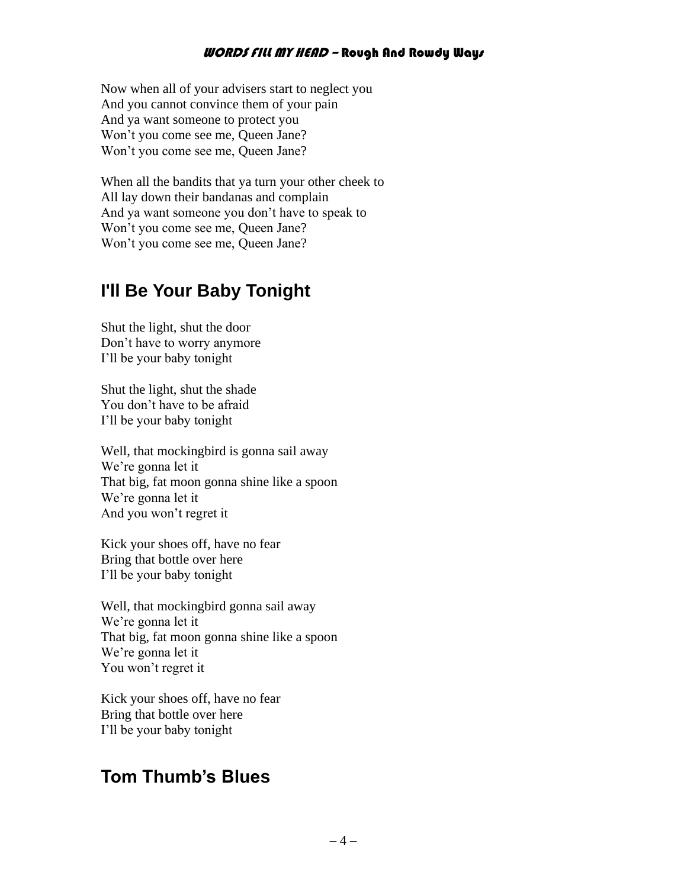Now when all of your advisers start to neglect you And you cannot convince them of your pain And ya want someone to protect you Won't you come see me, Queen Jane? Won't you come see me, Queen Jane?

When all the bandits that ya turn your other cheek to All lay down their bandanas and complain And ya want someone you don't have to speak to Won't you come see me, Queen Jane? Won't you come see me, Queen Jane?

## <span id="page-3-0"></span>**I'll Be Your Baby Tonight**

Shut the light, shut the door Don't have to worry anymore I'll be your baby tonight

Shut the light, shut the shade You don't have to be afraid I'll be your baby tonight

Well, that mockingbird is gonna sail away We're gonna let it That big, fat moon gonna shine like a spoon We're gonna let it And you won't regret it

Kick your shoes off, have no fear Bring that bottle over here I'll be your baby tonight

Well, that mockingbird gonna sail away We're gonna let it That big, fat moon gonna shine like a spoon We're gonna let it You won't regret it

Kick your shoes off, have no fear Bring that bottle over here I'll be your baby tonight

### <span id="page-3-1"></span>**Tom Thumb's Blues**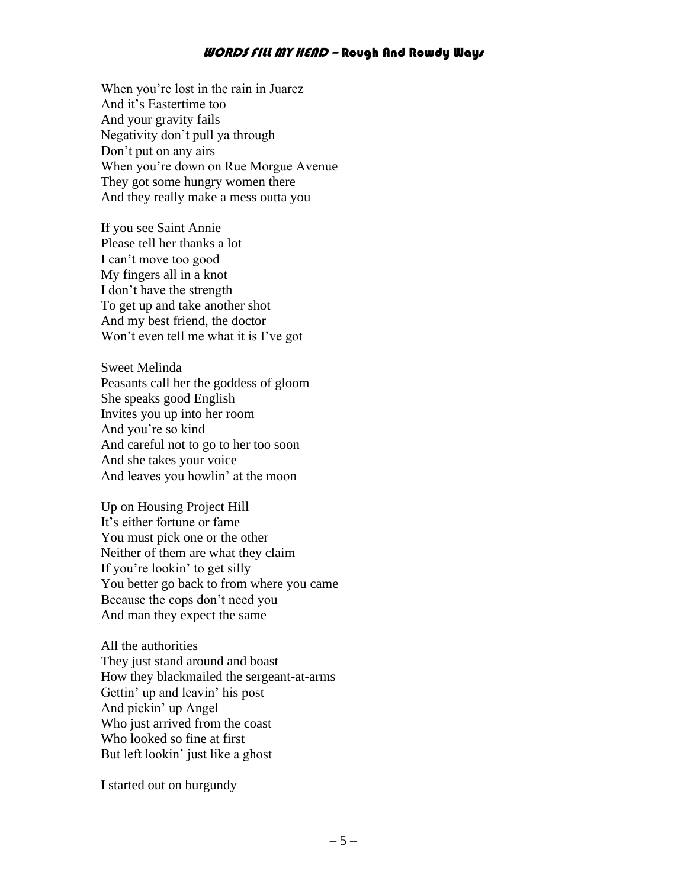When you're lost in the rain in Juarez And it's Eastertime too And your gravity fails Negativity don't pull ya through Don't put on any airs When you're down on Rue Morgue Avenue They got some hungry women there And they really make a mess outta you

If you see Saint Annie Please tell her thanks a lot I can't move too good My fingers all in a knot I don't have the strength To get up and take another shot And my best friend, the doctor Won't even tell me what it is I've got

Sweet Melinda Peasants call her the goddess of gloom She speaks good English Invites you up into her room And you're so kind And careful not to go to her too soon And she takes your voice And leaves you howlin' at the moon

Up on Housing Project Hill It's either fortune or fame You must pick one or the other Neither of them are what they claim If you're lookin' to get silly You better go back to from where you came Because the cops don't need you And man they expect the same

All the authorities They just stand around and boast How they blackmailed the sergeant-at-arms Gettin' up and leavin' his post And pickin' up Angel Who just arrived from the coast Who looked so fine at first But left lookin' just like a ghost

I started out on burgundy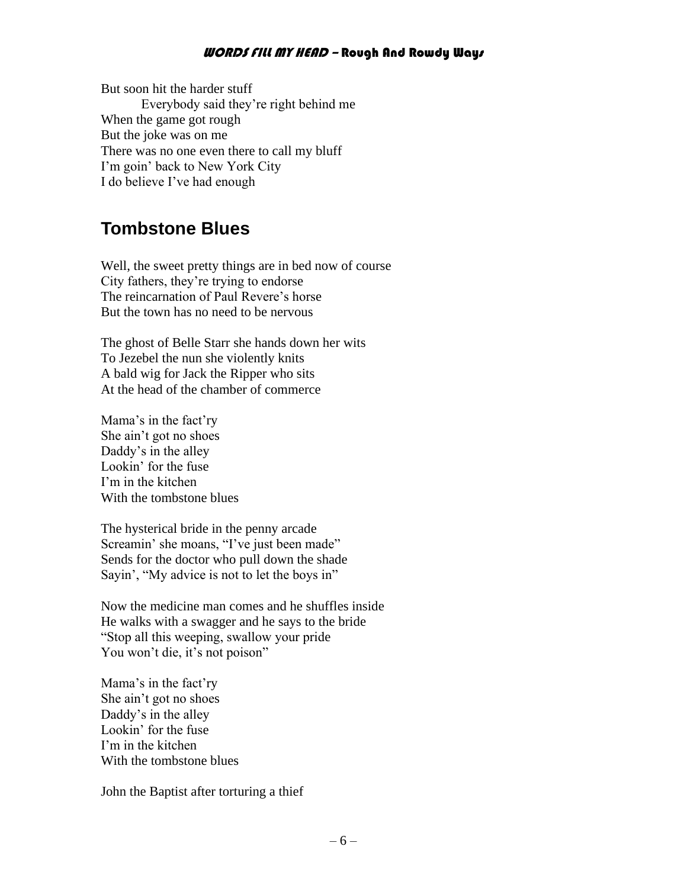But soon hit the harder stuff Everybody said they're right behind me When the game got rough But the joke was on me There was no one even there to call my bluff I'm goin' back to New York City I do believe I've had enough

### <span id="page-5-0"></span>**Tombstone Blues**

Well, the sweet pretty things are in bed now of course City fathers, they're trying to endorse The reincarnation of Paul Revere's horse But the town has no need to be nervous

The ghost of Belle Starr she hands down her wits To Jezebel the nun she violently knits A bald wig for Jack the Ripper who sits At the head of the chamber of commerce

Mama's in the fact'ry She ain't got no shoes Daddy's in the alley Lookin' for the fuse I'm in the kitchen With the tombstone blues

The hysterical bride in the penny arcade Screamin' she moans, "I've just been made" Sends for the doctor who pull down the shade Sayin', "My advice is not to let the boys in"

Now the medicine man comes and he shuffles inside He walks with a swagger and he says to the bride "Stop all this weeping, swallow your pride You won't die, it's not poison"

Mama's in the fact'ry She ain't got no shoes Daddy's in the alley Lookin' for the fuse I'm in the kitchen With the tombstone blues

John the Baptist after torturing a thief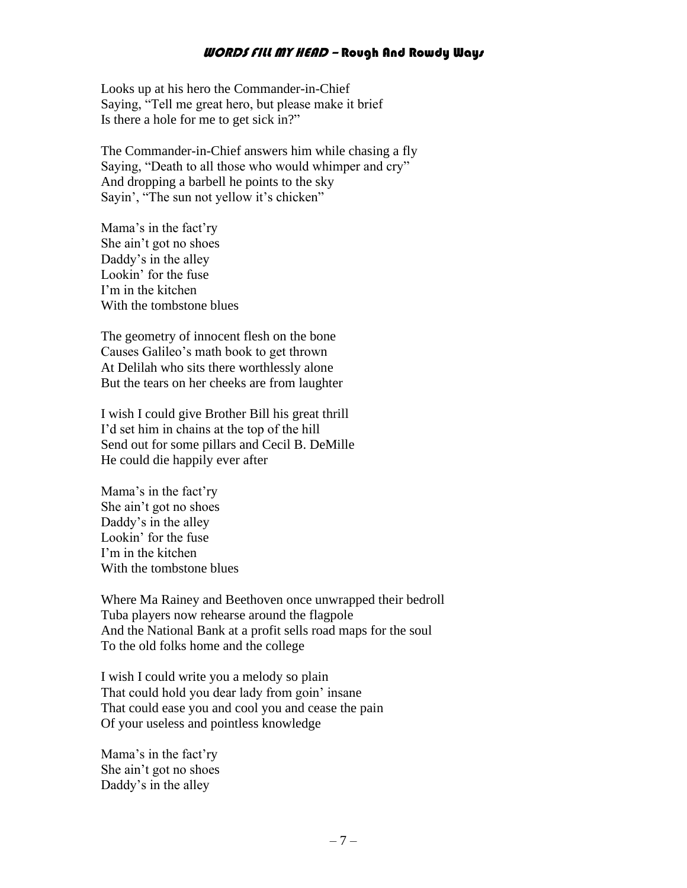Looks up at his hero the Commander-in-Chief Saying, "Tell me great hero, but please make it brief Is there a hole for me to get sick in?"

The Commander-in-Chief answers him while chasing a fly Saying, "Death to all those who would whimper and cry" And dropping a barbell he points to the sky Sayin', "The sun not yellow it's chicken"

Mama's in the fact'ry She ain't got no shoes Daddy's in the alley Lookin' for the fuse I'm in the kitchen With the tombstone blues

The geometry of innocent flesh on the bone Causes Galileo's math book to get thrown At Delilah who sits there worthlessly alone But the tears on her cheeks are from laughter

I wish I could give Brother Bill his great thrill I'd set him in chains at the top of the hill Send out for some pillars and Cecil B. DeMille He could die happily ever after

Mama's in the fact'ry She ain't got no shoes Daddy's in the alley Lookin' for the fuse I'm in the kitchen With the tombstone blues

Where Ma Rainey and Beethoven once unwrapped their bedroll Tuba players now rehearse around the flagpole And the National Bank at a profit sells road maps for the soul To the old folks home and the college

I wish I could write you a melody so plain That could hold you dear lady from goin' insane That could ease you and cool you and cease the pain Of your useless and pointless knowledge

Mama's in the fact'ry She ain't got no shoes Daddy's in the alley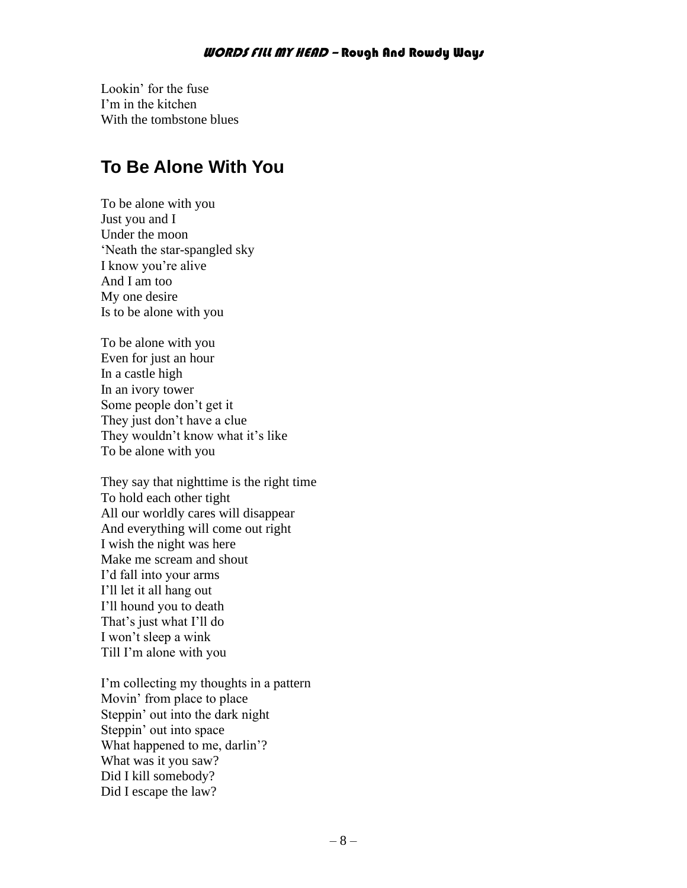Lookin' for the fuse I'm in the kitchen With the tombstone blues

### <span id="page-7-0"></span>**To Be Alone With You**

To be alone with you Just you and I Under the moon 'Neath the star-spangled sky I know you're alive And I am too My one desire Is to be alone with you

To be alone with you Even for just an hour In a castle high In an ivory tower Some people don't get it They just don't have a clue They wouldn't know what it's like To be alone with you

They say that nighttime is the right time To hold each other tight All our worldly cares will disappear And everything will come out right I wish the night was here Make me scream and shout I'd fall into your arms I'll let it all hang out I'll hound you to death That's just what I'll do I won't sleep a wink Till I'm alone with you

I'm collecting my thoughts in a pattern Movin' from place to place Steppin' out into the dark night Steppin' out into space What happened to me, darlin'? What was it you saw? Did I kill somebody? Did I escape the law?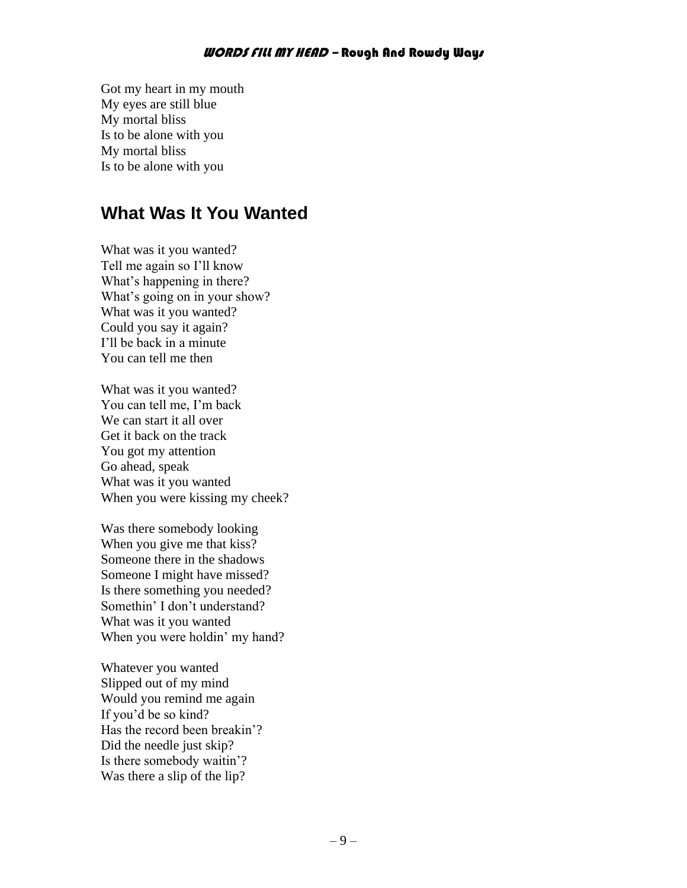Got my heart in my mouth My eyes are still blue My mortal bliss Is to be alone with you My mortal bliss Is to be alone with you

### <span id="page-8-0"></span>**What Was It You Wanted**

What was it you wanted? Tell me again so I'll know What's happening in there? What's going on in your show? What was it you wanted? Could you say it again? I'll be back in a minute You can tell me then

What was it you wanted? You can tell me, I'm back We can start it all over Get it back on the track You got my attention Go ahead, speak What was it you wanted When you were kissing my cheek?

Was there somebody looking When you give me that kiss? Someone there in the shadows Someone I might have missed? Is there something you needed? Somethin' I don't understand? What was it you wanted When you were holdin' my hand?

Whatever you wanted Slipped out of my mind Would you remind me again If you'd be so kind? Has the record been breakin'? Did the needle just skip? Is there somebody waitin'? Was there a slip of the lip?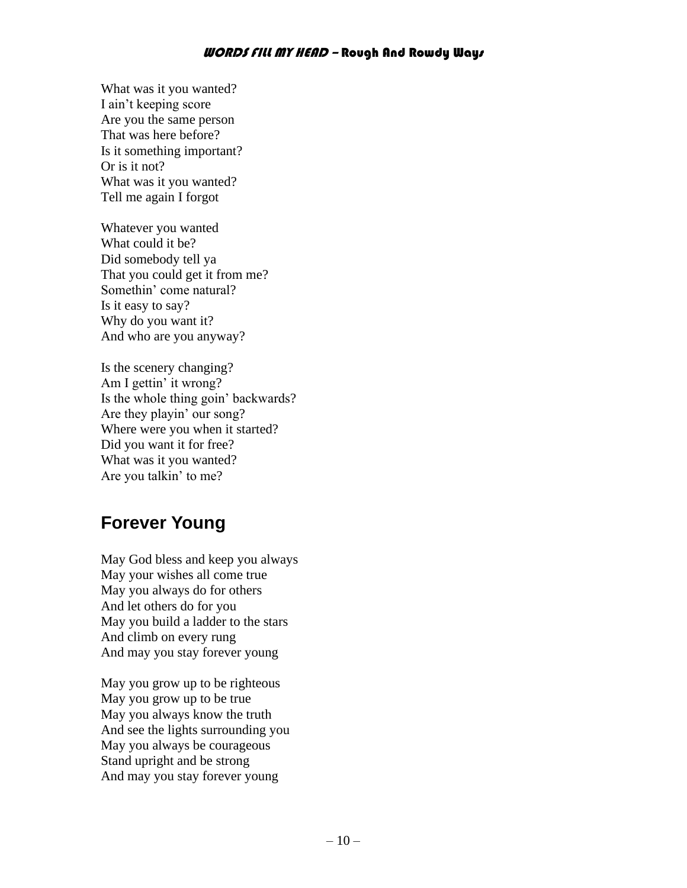What was it you wanted? I ain't keeping score Are you the same person That was here before? Is it something important? Or is it not? What was it you wanted? Tell me again I forgot

Whatever you wanted What could it be? Did somebody tell ya That you could get it from me? Somethin' come natural? Is it easy to say? Why do you want it? And who are you anyway?

Is the scenery changing? Am I gettin' it wrong? Is the whole thing goin' backwards? Are they playin' our song? Where were you when it started? Did you want it for free? What was it you wanted? Are you talkin' to me?

# <span id="page-9-0"></span>**Forever Young**

May God bless and keep you always May your wishes all come true May you always do for others And let others do for you May you build a ladder to the stars And climb on every rung And may you stay forever young

May you grow up to be righteous May you grow up to be true May you always know the truth And see the lights surrounding you May you always be courageous Stand upright and be strong And may you stay forever young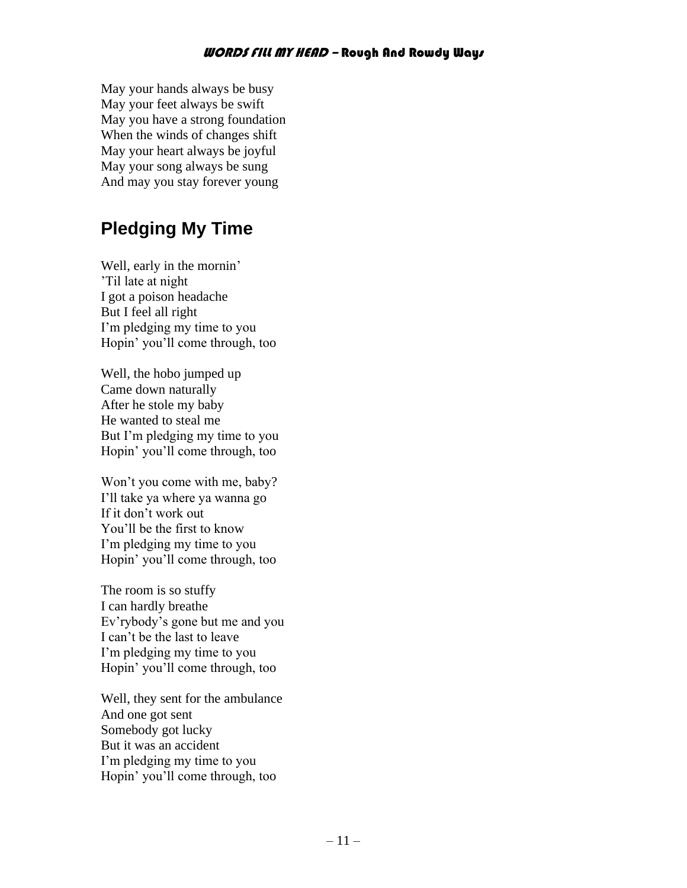May your hands always be busy May your feet always be swift May you have a strong foundation When the winds of changes shift May your heart always be joyful May your song always be sung And may you stay forever young

# <span id="page-10-0"></span>**Pledging My Time**

Well, early in the mornin' 'Til late at night I got a poison headache But I feel all right I'm pledging my time to you Hopin' you'll come through, too

Well, the hobo jumped up Came down naturally After he stole my baby He wanted to steal me But I'm pledging my time to you Hopin' you'll come through, too

Won't you come with me, baby? I'll take ya where ya wanna go If it don't work out You'll be the first to know I'm pledging my time to you Hopin' you'll come through, too

The room is so stuffy I can hardly breathe Ev'rybody's gone but me and you I can't be the last to leave I'm pledging my time to you Hopin' you'll come through, too

Well, they sent for the ambulance And one got sent Somebody got lucky But it was an accident I'm pledging my time to you Hopin' you'll come through, too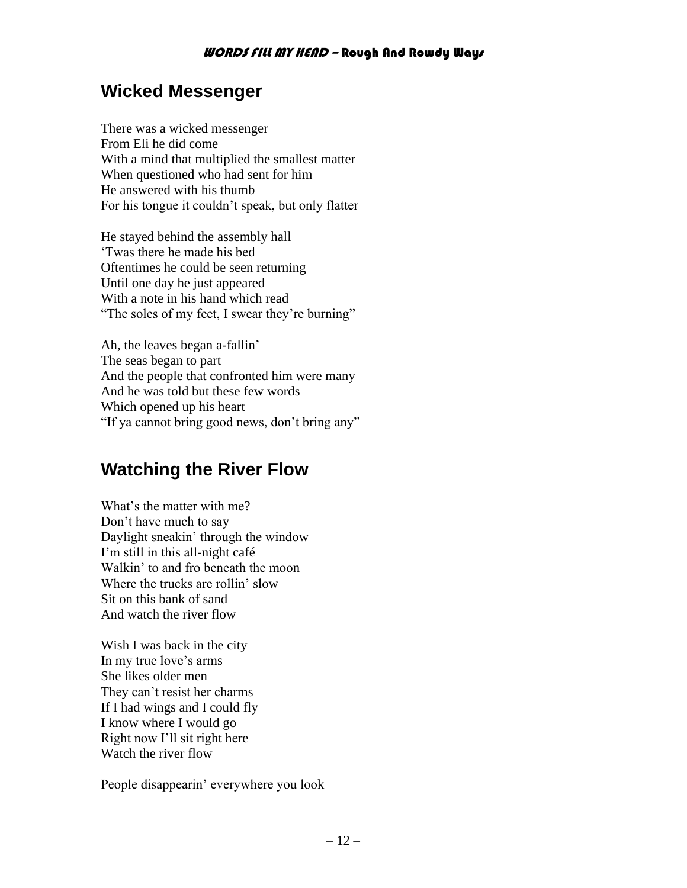### <span id="page-11-0"></span>**Wicked Messenger**

There was a wicked messenger From Eli he did come With a mind that multiplied the smallest matter When questioned who had sent for him He answered with his thumb For his tongue it couldn't speak, but only flatter

He stayed behind the assembly hall 'Twas there he made his bed Oftentimes he could be seen returning Until one day he just appeared With a note in his hand which read "The soles of my feet, I swear they're burning"

Ah, the leaves began a-fallin' The seas began to part And the people that confronted him were many And he was told but these few words Which opened up his heart "If ya cannot bring good news, don't bring any"

### <span id="page-11-1"></span>**Watching the River Flow**

What's the matter with me? Don't have much to say Daylight sneakin' through the window I'm still in this all-night café Walkin' to and fro beneath the moon Where the trucks are rollin' slow Sit on this bank of sand And watch the river flow

Wish I was back in the city In my true love's arms She likes older men They can't resist her charms If I had wings and I could fly I know where I would go Right now I'll sit right here Watch the river flow

People disappearin' everywhere you look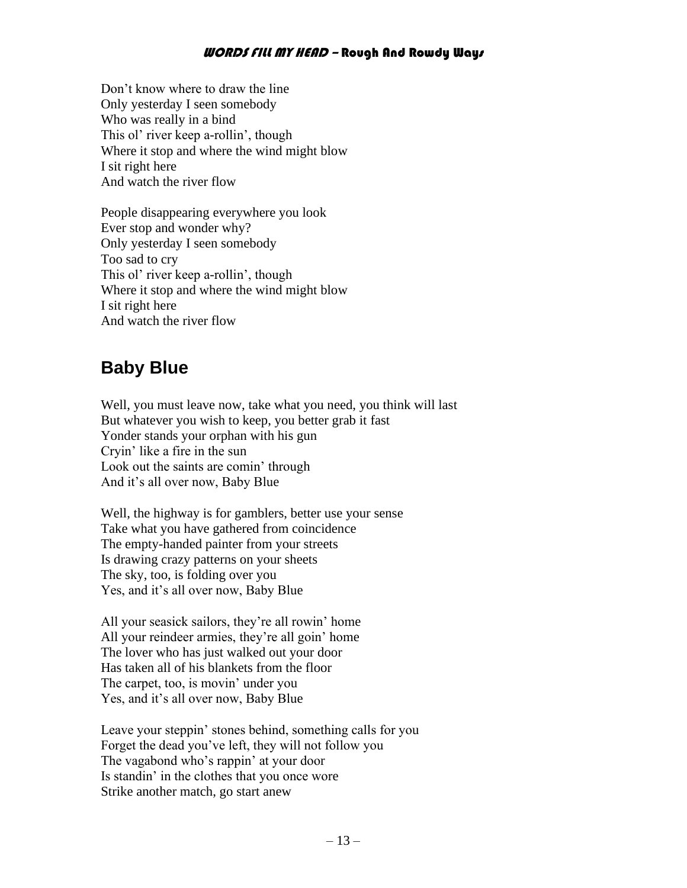Don't know where to draw the line Only yesterday I seen somebody Who was really in a bind This ol' river keep a-rollin', though Where it stop and where the wind might blow I sit right here And watch the river flow

People disappearing everywhere you look Ever stop and wonder why? Only yesterday I seen somebody Too sad to cry This ol' river keep a-rollin', though Where it stop and where the wind might blow I sit right here And watch the river flow

### <span id="page-12-0"></span>**Baby Blue**

Well, you must leave now, take what you need, you think will last But whatever you wish to keep, you better grab it fast Yonder stands your orphan with his gun Cryin' like a fire in the sun Look out the saints are comin' through And it's all over now, Baby Blue

Well, the highway is for gamblers, better use your sense Take what you have gathered from coincidence The empty-handed painter from your streets Is drawing crazy patterns on your sheets The sky, too, is folding over you Yes, and it's all over now, Baby Blue

All your seasick sailors, they're all rowin' home All your reindeer armies, they're all goin' home The lover who has just walked out your door Has taken all of his blankets from the floor The carpet, too, is movin' under you Yes, and it's all over now, Baby Blue

Leave your steppin' stones behind, something calls for you Forget the dead you've left, they will not follow you The vagabond who's rappin' at your door Is standin' in the clothes that you once wore Strike another match, go start anew